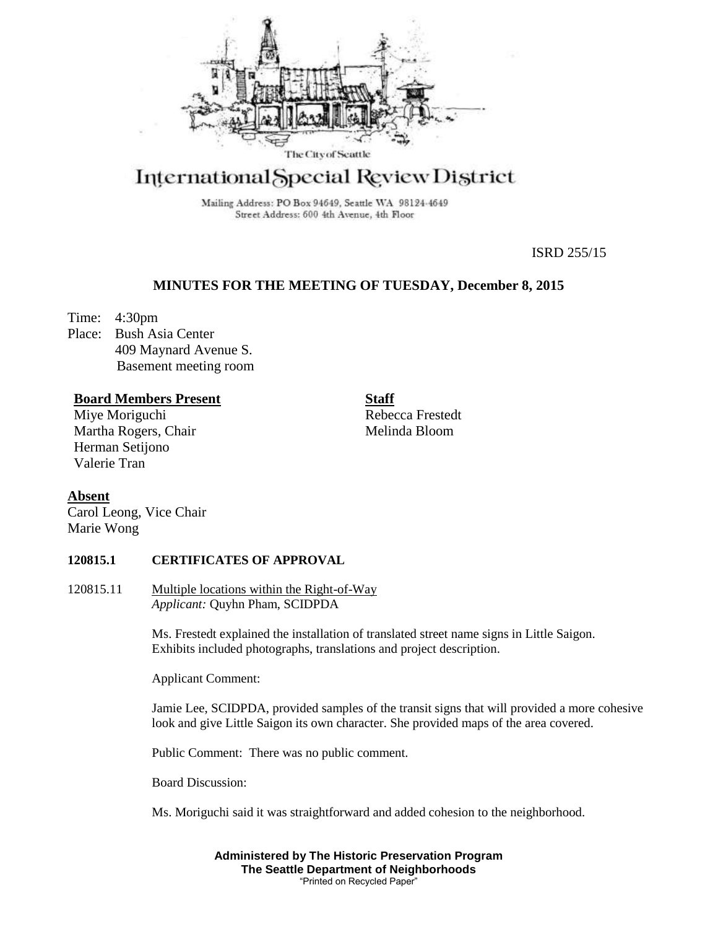

# International Special Review District

Mailing Address: PO Box 94649, Seattle WA 98124-4649 Street Address: 600 4th Avenue, 4th Floor

ISRD 255/15

# **MINUTES FOR THE MEETING OF TUESDAY, December 8, 2015**

Time: 4:30pm

Place: Bush Asia Center 409 Maynard Avenue S. Basement meeting room

# **Board Members Present**

Miye Moriguchi Martha Rogers, Chair Herman Setijono Valerie Tran

**Staff** Rebecca Frestedt Melinda Bloom

# **Absent**

Carol Leong, Vice Chair Marie Wong

# **120815.1 CERTIFICATES OF APPROVAL**

120815.11 Multiple locations within the Right-of-Way *Applicant:* Quyhn Pham, SCIDPDA

> Ms. Frestedt explained the installation of translated street name signs in Little Saigon. Exhibits included photographs, translations and project description.

Applicant Comment:

Jamie Lee, SCIDPDA, provided samples of the transit signs that will provided a more cohesive look and give Little Saigon its own character. She provided maps of the area covered.

Public Comment: There was no public comment.

Board Discussion:

Ms. Moriguchi said it was straightforward and added cohesion to the neighborhood.

**Administered by The Historic Preservation Program The Seattle Department of Neighborhoods** "Printed on Recycled Paper"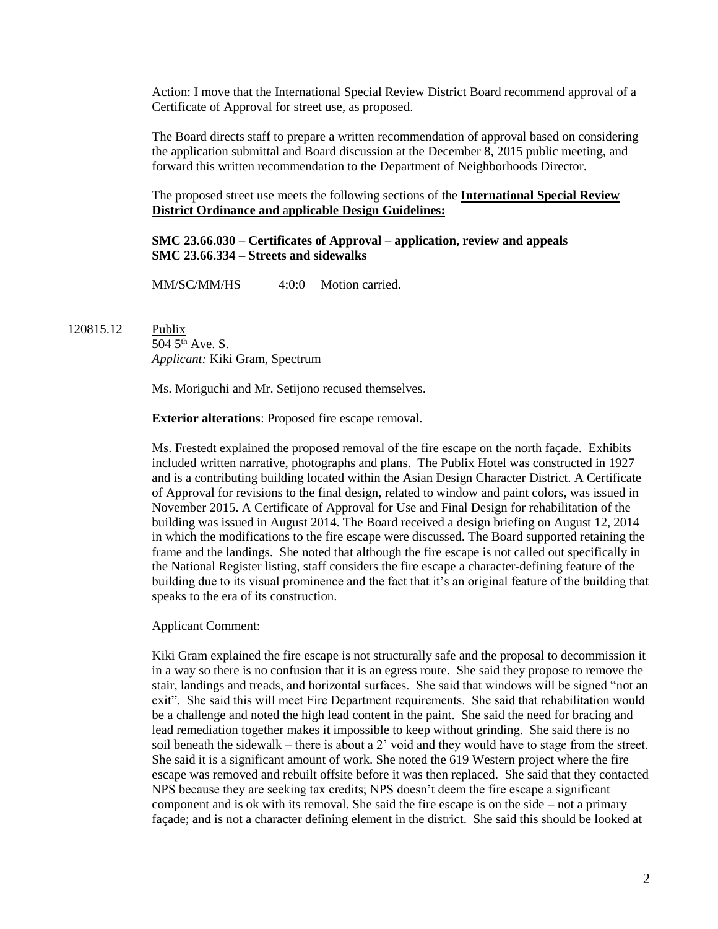Action: I move that the International Special Review District Board recommend approval of a Certificate of Approval for street use, as proposed.

The Board directs staff to prepare a written recommendation of approval based on considering the application submittal and Board discussion at the December 8, 2015 public meeting, and forward this written recommendation to the Department of Neighborhoods Director.

The proposed street use meets the following sections of the **International Special Review District Ordinance and** a**pplicable Design Guidelines:**

**SMC 23.66.030 – Certificates of Approval – application, review and appeals SMC 23.66.334 – Streets and sidewalks**

MM/SC/MM/HS 4:0:0 Motion carried.

120815.12 Publix

504 5th Ave. S. *Applicant:* Kiki Gram, Spectrum

Ms. Moriguchi and Mr. Setijono recused themselves.

**Exterior alterations**: Proposed fire escape removal.

Ms. Frestedt explained the proposed removal of the fire escape on the north façade. Exhibits included written narrative, photographs and plans. The Publix Hotel was constructed in 1927 and is a contributing building located within the Asian Design Character District. A Certificate of Approval for revisions to the final design, related to window and paint colors, was issued in November 2015. A Certificate of Approval for Use and Final Design for rehabilitation of the building was issued in August 2014. The Board received a design briefing on August 12, 2014 in which the modifications to the fire escape were discussed. The Board supported retaining the frame and the landings. She noted that although the fire escape is not called out specifically in the National Register listing, staff considers the fire escape a character-defining feature of the building due to its visual prominence and the fact that it's an original feature of the building that speaks to the era of its construction.

Applicant Comment:

Kiki Gram explained the fire escape is not structurally safe and the proposal to decommission it in a way so there is no confusion that it is an egress route. She said they propose to remove the stair, landings and treads, and horizontal surfaces. She said that windows will be signed "not an exit". She said this will meet Fire Department requirements. She said that rehabilitation would be a challenge and noted the high lead content in the paint. She said the need for bracing and lead remediation together makes it impossible to keep without grinding. She said there is no soil beneath the sidewalk – there is about a 2' void and they would have to stage from the street. She said it is a significant amount of work. She noted the 619 Western project where the fire escape was removed and rebuilt offsite before it was then replaced. She said that they contacted NPS because they are seeking tax credits; NPS doesn't deem the fire escape a significant component and is ok with its removal. She said the fire escape is on the side – not a primary façade; and is not a character defining element in the district. She said this should be looked at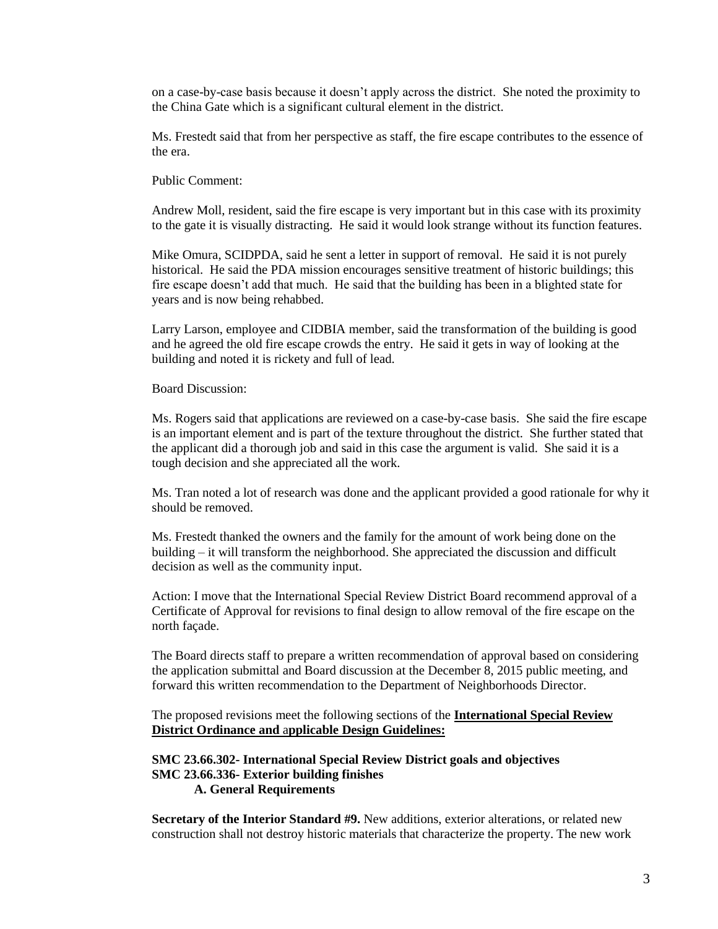on a case-by-case basis because it doesn't apply across the district. She noted the proximity to the China Gate which is a significant cultural element in the district.

Ms. Frestedt said that from her perspective as staff, the fire escape contributes to the essence of the era.

Public Comment:

Andrew Moll, resident, said the fire escape is very important but in this case with its proximity to the gate it is visually distracting. He said it would look strange without its function features.

Mike Omura, SCIDPDA, said he sent a letter in support of removal. He said it is not purely historical. He said the PDA mission encourages sensitive treatment of historic buildings; this fire escape doesn't add that much. He said that the building has been in a blighted state for years and is now being rehabbed.

Larry Larson, employee and CIDBIA member, said the transformation of the building is good and he agreed the old fire escape crowds the entry. He said it gets in way of looking at the building and noted it is rickety and full of lead.

Board Discussion:

Ms. Rogers said that applications are reviewed on a case-by-case basis. She said the fire escape is an important element and is part of the texture throughout the district. She further stated that the applicant did a thorough job and said in this case the argument is valid. She said it is a tough decision and she appreciated all the work.

Ms. Tran noted a lot of research was done and the applicant provided a good rationale for why it should be removed.

Ms. Frestedt thanked the owners and the family for the amount of work being done on the building – it will transform the neighborhood. She appreciated the discussion and difficult decision as well as the community input.

Action: I move that the International Special Review District Board recommend approval of a Certificate of Approval for revisions to final design to allow removal of the fire escape on the north façade.

The Board directs staff to prepare a written recommendation of approval based on considering the application submittal and Board discussion at the December 8, 2015 public meeting, and forward this written recommendation to the Department of Neighborhoods Director.

The proposed revisions meet the following sections of the **International Special Review District Ordinance and** a**pplicable Design Guidelines:**

#### **SMC 23.66.302- International Special Review District goals and objectives SMC 23.66.336- Exterior building finishes A. General Requirements**

**Secretary of the Interior Standard #9.** New additions, exterior alterations, or related new construction shall not destroy historic materials that characterize the property. The new work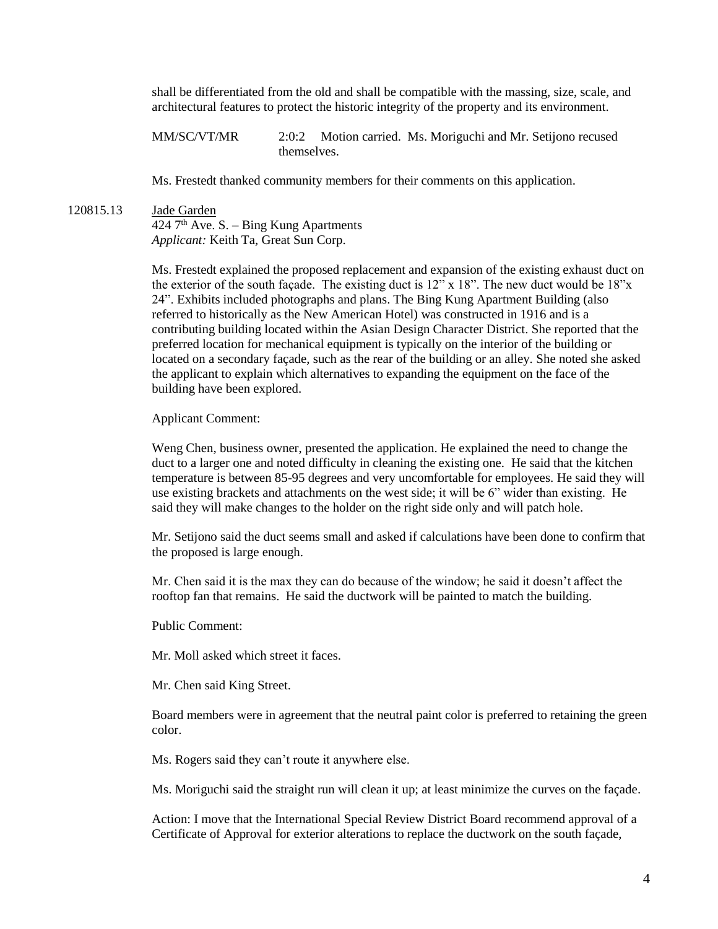shall be differentiated from the old and shall be compatible with the massing, size, scale, and architectural features to protect the historic integrity of the property and its environment.

MM/SC/VT/MR 2:0:2 Motion carried. Ms. Moriguchi and Mr. Setijono recused themselves.

Ms. Frestedt thanked community members for their comments on this application.

120815.13 Jade Garden  $424$  7<sup>th</sup> Ave. S. – Bing Kung Apartments *Applicant:* Keith Ta, Great Sun Corp.

> Ms. Frestedt explained the proposed replacement and expansion of the existing exhaust duct on the exterior of the south façade. The existing duct is 12" x 18". The new duct would be 18"x 24". Exhibits included photographs and plans. The Bing Kung Apartment Building (also referred to historically as the New American Hotel) was constructed in 1916 and is a contributing building located within the Asian Design Character District. She reported that the preferred location for mechanical equipment is typically on the interior of the building or located on a secondary façade, such as the rear of the building or an alley. She noted she asked the applicant to explain which alternatives to expanding the equipment on the face of the building have been explored.

Applicant Comment:

Weng Chen, business owner, presented the application. He explained the need to change the duct to a larger one and noted difficulty in cleaning the existing one. He said that the kitchen temperature is between 85-95 degrees and very uncomfortable for employees. He said they will use existing brackets and attachments on the west side; it will be 6" wider than existing. He said they will make changes to the holder on the right side only and will patch hole.

Mr. Setijono said the duct seems small and asked if calculations have been done to confirm that the proposed is large enough.

Mr. Chen said it is the max they can do because of the window; he said it doesn't affect the rooftop fan that remains. He said the ductwork will be painted to match the building.

Public Comment:

Mr. Moll asked which street it faces.

Mr. Chen said King Street.

Board members were in agreement that the neutral paint color is preferred to retaining the green color.

Ms. Rogers said they can't route it anywhere else.

Ms. Moriguchi said the straight run will clean it up; at least minimize the curves on the façade.

Action: I move that the International Special Review District Board recommend approval of a Certificate of Approval for exterior alterations to replace the ductwork on the south façade,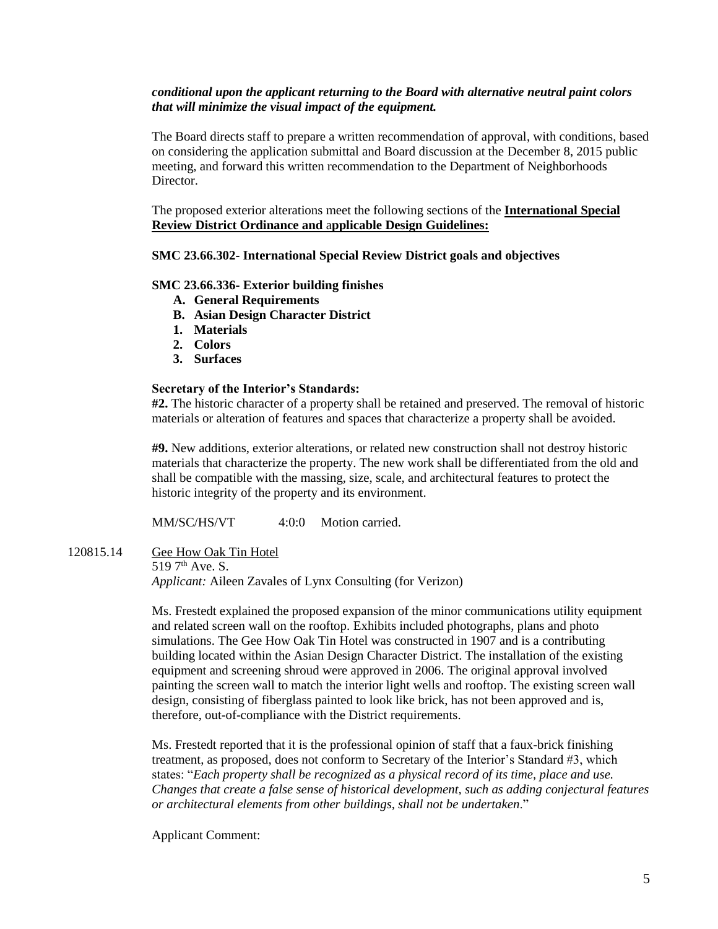# *conditional upon the applicant returning to the Board with alternative neutral paint colors that will minimize the visual impact of the equipment.*

The Board directs staff to prepare a written recommendation of approval, with conditions, based on considering the application submittal and Board discussion at the December 8, 2015 public meeting, and forward this written recommendation to the Department of Neighborhoods Director.

The proposed exterior alterations meet the following sections of the **International Special Review District Ordinance and** a**pplicable Design Guidelines:**

# **SMC 23.66.302- International Special Review District goals and objectives**

#### **SMC 23.66.336- Exterior building finishes**

- **A. General Requirements**
- **B. Asian Design Character District**
- **1. Materials**
- **2. Colors**
- **3. Surfaces**

#### **Secretary of the Interior's Standards:**

**#2.** The historic character of a property shall be retained and preserved. The removal of historic materials or alteration of features and spaces that characterize a property shall be avoided.

**#9.** New additions, exterior alterations, or related new construction shall not destroy historic materials that characterize the property. The new work shall be differentiated from the old and shall be compatible with the massing, size, scale, and architectural features to protect the historic integrity of the property and its environment.

MM/SC/HS/VT 4:0:0 Motion carried.

120815.14 Gee How Oak Tin Hotel

 $5197^{th}$  Ave. S. *Applicant:* Aileen Zavales of Lynx Consulting (for Verizon)

Ms. Frestedt explained the proposed expansion of the minor communications utility equipment and related screen wall on the rooftop. Exhibits included photographs, plans and photo simulations. The Gee How Oak Tin Hotel was constructed in 1907 and is a contributing building located within the Asian Design Character District. The installation of the existing equipment and screening shroud were approved in 2006. The original approval involved painting the screen wall to match the interior light wells and rooftop. The existing screen wall design, consisting of fiberglass painted to look like brick, has not been approved and is, therefore, out-of-compliance with the District requirements.

Ms. Frestedt reported that it is the professional opinion of staff that a faux-brick finishing treatment, as proposed, does not conform to Secretary of the Interior's Standard #3, which states: "*Each property shall be recognized as a physical record of its time, place and use. Changes that create a false sense of historical development, such as adding conjectural features or architectural elements from other buildings, shall not be undertaken*."

Applicant Comment: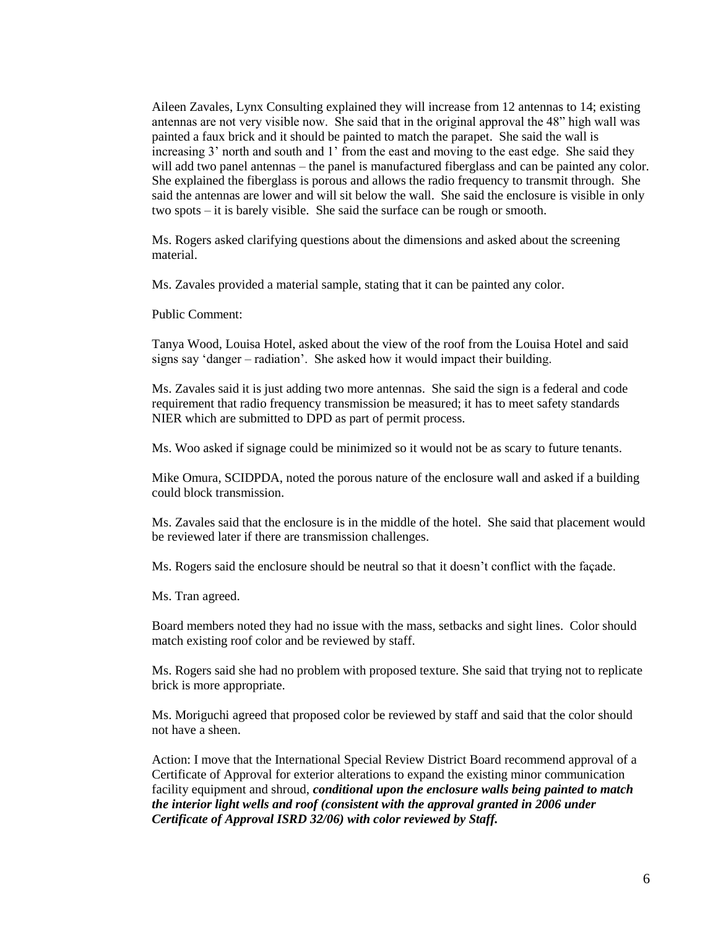Aileen Zavales, Lynx Consulting explained they will increase from 12 antennas to 14; existing antennas are not very visible now. She said that in the original approval the 48" high wall was painted a faux brick and it should be painted to match the parapet. She said the wall is increasing 3' north and south and 1' from the east and moving to the east edge. She said they will add two panel antennas – the panel is manufactured fiberglass and can be painted any color. She explained the fiberglass is porous and allows the radio frequency to transmit through. She said the antennas are lower and will sit below the wall. She said the enclosure is visible in only two spots – it is barely visible. She said the surface can be rough or smooth.

Ms. Rogers asked clarifying questions about the dimensions and asked about the screening material.

Ms. Zavales provided a material sample, stating that it can be painted any color.

Public Comment:

Tanya Wood, Louisa Hotel, asked about the view of the roof from the Louisa Hotel and said signs say 'danger – radiation'. She asked how it would impact their building.

Ms. Zavales said it is just adding two more antennas. She said the sign is a federal and code requirement that radio frequency transmission be measured; it has to meet safety standards NIER which are submitted to DPD as part of permit process.

Ms. Woo asked if signage could be minimized so it would not be as scary to future tenants.

Mike Omura, SCIDPDA, noted the porous nature of the enclosure wall and asked if a building could block transmission.

Ms. Zavales said that the enclosure is in the middle of the hotel. She said that placement would be reviewed later if there are transmission challenges.

Ms. Rogers said the enclosure should be neutral so that it doesn't conflict with the façade.

Ms. Tran agreed.

Board members noted they had no issue with the mass, setbacks and sight lines. Color should match existing roof color and be reviewed by staff.

Ms. Rogers said she had no problem with proposed texture. She said that trying not to replicate brick is more appropriate.

Ms. Moriguchi agreed that proposed color be reviewed by staff and said that the color should not have a sheen.

Action: I move that the International Special Review District Board recommend approval of a Certificate of Approval for exterior alterations to expand the existing minor communication facility equipment and shroud, *conditional upon the enclosure walls being painted to match the interior light wells and roof (consistent with the approval granted in 2006 under Certificate of Approval ISRD 32/06) with color reviewed by Staff.*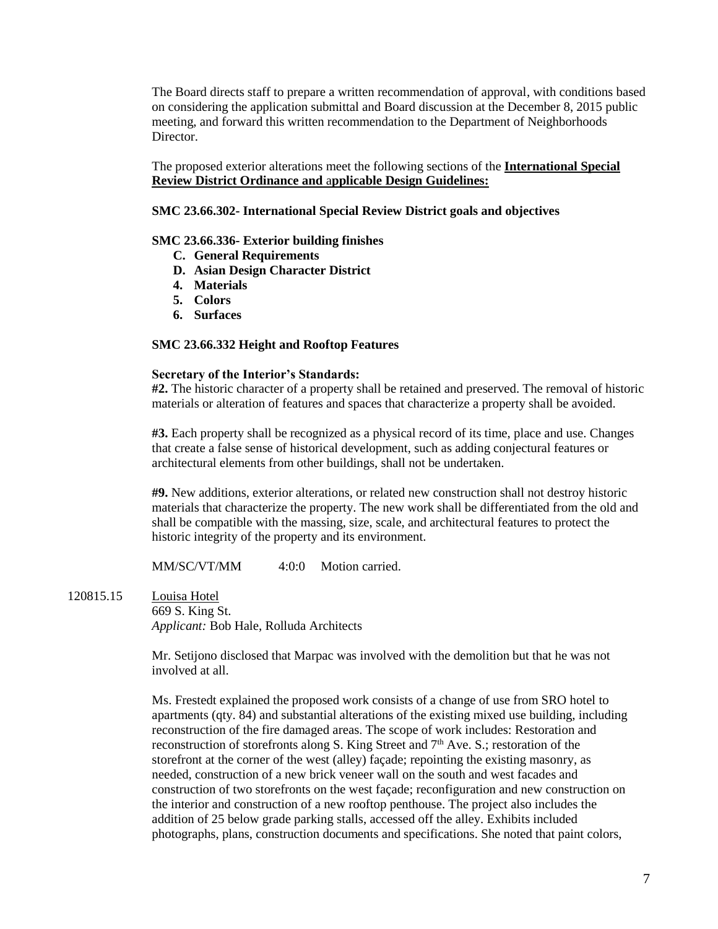The Board directs staff to prepare a written recommendation of approval, with conditions based on considering the application submittal and Board discussion at the December 8, 2015 public meeting, and forward this written recommendation to the Department of Neighborhoods Director.

The proposed exterior alterations meet the following sections of the **International Special Review District Ordinance and** a**pplicable Design Guidelines:**

#### **SMC 23.66.302- International Special Review District goals and objectives**

#### **SMC 23.66.336- Exterior building finishes**

- **C. General Requirements**
- **D. Asian Design Character District**
- **4. Materials**
- **5. Colors**
- **6. Surfaces**

#### **SMC 23.66.332 Height and Rooftop Features**

#### **Secretary of the Interior's Standards:**

**#2.** The historic character of a property shall be retained and preserved. The removal of historic materials or alteration of features and spaces that characterize a property shall be avoided.

**#3.** Each property shall be recognized as a physical record of its time, place and use. Changes that create a false sense of historical development, such as adding conjectural features or architectural elements from other buildings, shall not be undertaken.

**#9.** New additions, exterior alterations, or related new construction shall not destroy historic materials that characterize the property. The new work shall be differentiated from the old and shall be compatible with the massing, size, scale, and architectural features to protect the historic integrity of the property and its environment.

MM/SC/VT/MM 4:0:0 Motion carried.

120815.15 Louisa Hotel 669 S. King St. *Applicant:* Bob Hale, Rolluda Architects

> Mr. Setijono disclosed that Marpac was involved with the demolition but that he was not involved at all.

Ms. Frestedt explained the proposed work consists of a change of use from SRO hotel to apartments (qty. 84) and substantial alterations of the existing mixed use building, including reconstruction of the fire damaged areas. The scope of work includes: Restoration and reconstruction of storefronts along S. King Street and  $7<sup>th</sup>$  Ave. S.; restoration of the storefront at the corner of the west (alley) façade; repointing the existing masonry, as needed, construction of a new brick veneer wall on the south and west facades and construction of two storefronts on the west façade; reconfiguration and new construction on the interior and construction of a new rooftop penthouse. The project also includes the addition of 25 below grade parking stalls, accessed off the alley. Exhibits included photographs, plans, construction documents and specifications. She noted that paint colors,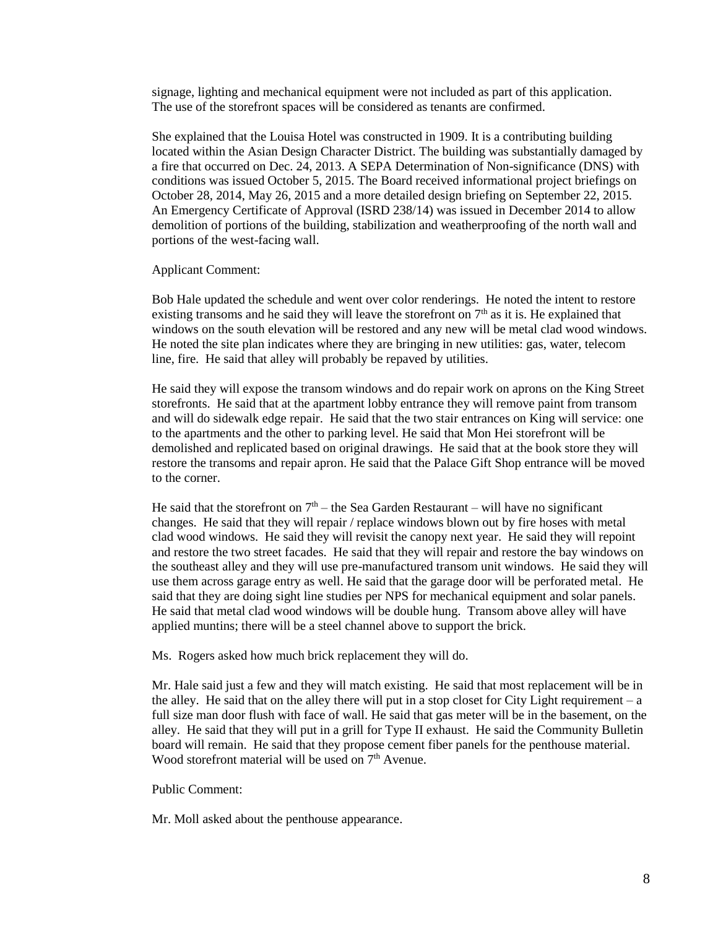signage, lighting and mechanical equipment were not included as part of this application. The use of the storefront spaces will be considered as tenants are confirmed.

She explained that the Louisa Hotel was constructed in 1909. It is a contributing building located within the Asian Design Character District. The building was substantially damaged by a fire that occurred on Dec. 24, 2013. A SEPA Determination of Non-significance (DNS) with conditions was issued October 5, 2015. The Board received informational project briefings on October 28, 2014, May 26, 2015 and a more detailed design briefing on September 22, 2015. An Emergency Certificate of Approval (ISRD 238/14) was issued in December 2014 to allow demolition of portions of the building, stabilization and weatherproofing of the north wall and portions of the west-facing wall.

#### Applicant Comment:

Bob Hale updated the schedule and went over color renderings. He noted the intent to restore existing transoms and he said they will leave the storefront on  $7<sup>th</sup>$  as it is. He explained that windows on the south elevation will be restored and any new will be metal clad wood windows. He noted the site plan indicates where they are bringing in new utilities: gas, water, telecom line, fire. He said that alley will probably be repaved by utilities.

He said they will expose the transom windows and do repair work on aprons on the King Street storefronts. He said that at the apartment lobby entrance they will remove paint from transom and will do sidewalk edge repair. He said that the two stair entrances on King will service: one to the apartments and the other to parking level. He said that Mon Hei storefront will be demolished and replicated based on original drawings. He said that at the book store they will restore the transoms and repair apron. He said that the Palace Gift Shop entrance will be moved to the corner.

He said that the storefront on  $7<sup>th</sup>$  – the Sea Garden Restaurant – will have no significant changes. He said that they will repair / replace windows blown out by fire hoses with metal clad wood windows. He said they will revisit the canopy next year. He said they will repoint and restore the two street facades. He said that they will repair and restore the bay windows on the southeast alley and they will use pre-manufactured transom unit windows. He said they will use them across garage entry as well. He said that the garage door will be perforated metal. He said that they are doing sight line studies per NPS for mechanical equipment and solar panels. He said that metal clad wood windows will be double hung. Transom above alley will have applied muntins; there will be a steel channel above to support the brick.

Ms. Rogers asked how much brick replacement they will do.

Mr. Hale said just a few and they will match existing. He said that most replacement will be in the alley. He said that on the alley there will put in a stop closet for City Light requirement – a full size man door flush with face of wall. He said that gas meter will be in the basement, on the alley. He said that they will put in a grill for Type II exhaust. He said the Community Bulletin board will remain. He said that they propose cement fiber panels for the penthouse material. Wood storefront material will be used on  $7<sup>th</sup>$  Avenue.

#### Public Comment:

Mr. Moll asked about the penthouse appearance.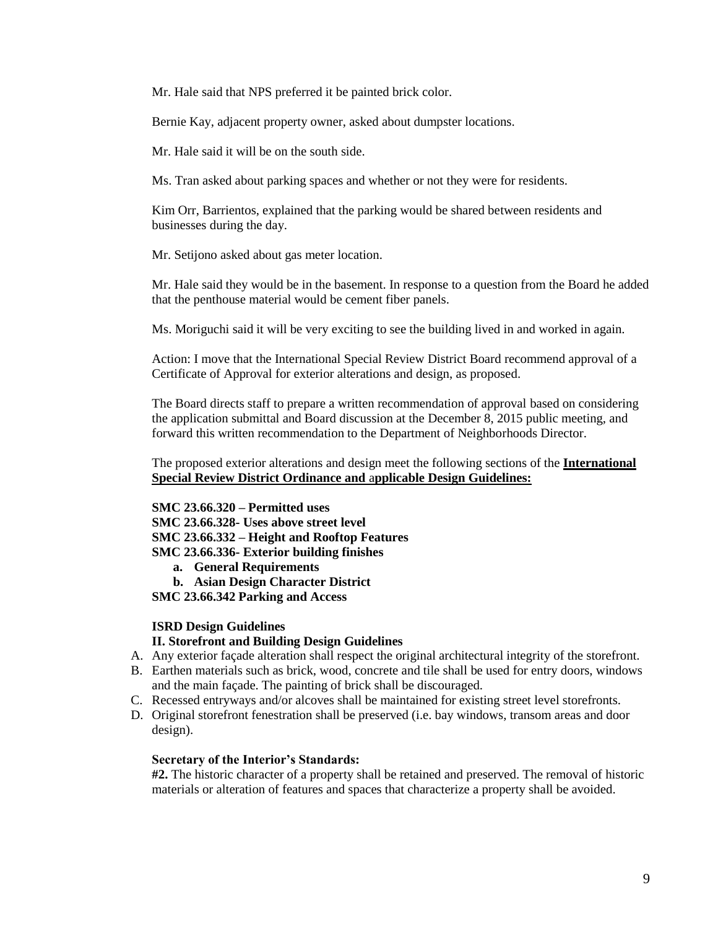Mr. Hale said that NPS preferred it be painted brick color.

Bernie Kay, adjacent property owner, asked about dumpster locations.

Mr. Hale said it will be on the south side.

Ms. Tran asked about parking spaces and whether or not they were for residents.

Kim Orr, Barrientos, explained that the parking would be shared between residents and businesses during the day.

Mr. Setijono asked about gas meter location.

Mr. Hale said they would be in the basement. In response to a question from the Board he added that the penthouse material would be cement fiber panels.

Ms. Moriguchi said it will be very exciting to see the building lived in and worked in again.

Action: I move that the International Special Review District Board recommend approval of a Certificate of Approval for exterior alterations and design, as proposed.

The Board directs staff to prepare a written recommendation of approval based on considering the application submittal and Board discussion at the December 8, 2015 public meeting, and forward this written recommendation to the Department of Neighborhoods Director.

The proposed exterior alterations and design meet the following sections of the **International Special Review District Ordinance and** a**pplicable Design Guidelines:**

**SMC 23.66.320 – Permitted uses SMC 23.66.328- Uses above street level**

**SMC 23.66.332 – Height and Rooftop Features**

**SMC 23.66.336- Exterior building finishes**

- **a. General Requirements**
- **b. Asian Design Character District**

**SMC 23.66.342 Parking and Access**

# **ISRD Design Guidelines**

# **II. Storefront and Building Design Guidelines**

- A. Any exterior façade alteration shall respect the original architectural integrity of the storefront.
- B. Earthen materials such as brick, wood, concrete and tile shall be used for entry doors, windows and the main façade. The painting of brick shall be discouraged.
- C. Recessed entryways and/or alcoves shall be maintained for existing street level storefronts.
- D. Original storefront fenestration shall be preserved (i.e. bay windows, transom areas and door design).

#### **Secretary of the Interior's Standards:**

**#2.** The historic character of a property shall be retained and preserved. The removal of historic materials or alteration of features and spaces that characterize a property shall be avoided.